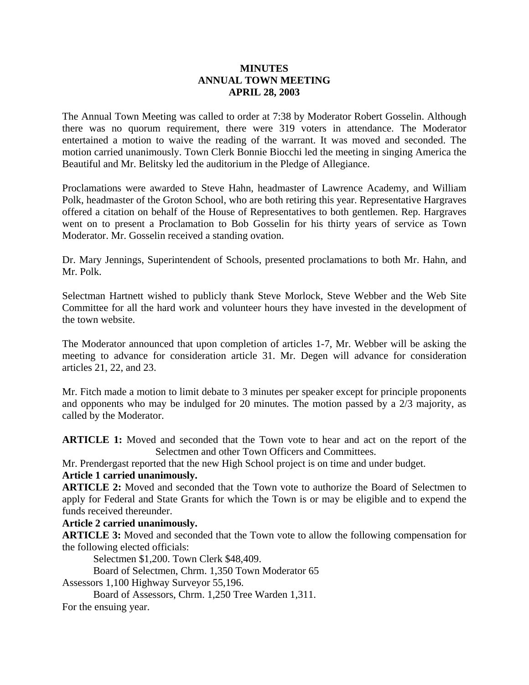#### **MINUTES ANNUAL TOWN MEETING APRIL 28, 2003**

The Annual Town Meeting was called to order at 7:38 by Moderator Robert Gosselin. Although there was no quorum requirement, there were 319 voters in attendance. The Moderator entertained a motion to waive the reading of the warrant. It was moved and seconded. The motion carried unanimously. Town Clerk Bonnie Biocchi led the meeting in singing America the Beautiful and Mr. Belitsky led the auditorium in the Pledge of Allegiance.

Proclamations were awarded to Steve Hahn, headmaster of Lawrence Academy, and William Polk, headmaster of the Groton School, who are both retiring this year. Representative Hargraves offered a citation on behalf of the House of Representatives to both gentlemen. Rep. Hargraves went on to present a Proclamation to Bob Gosselin for his thirty years of service as Town Moderator. Mr. Gosselin received a standing ovation.

Dr. Mary Jennings, Superintendent of Schools, presented proclamations to both Mr. Hahn, and Mr. Polk.

Selectman Hartnett wished to publicly thank Steve Morlock, Steve Webber and the Web Site Committee for all the hard work and volunteer hours they have invested in the development of the town website.

The Moderator announced that upon completion of articles 1-7, Mr. Webber will be asking the meeting to advance for consideration article 31. Mr. Degen will advance for consideration articles 21, 22, and 23.

Mr. Fitch made a motion to limit debate to 3 minutes per speaker except for principle proponents and opponents who may be indulged for 20 minutes. The motion passed by a 2/3 majority, as called by the Moderator.

**ARTICLE 1:** Moved and seconded that the Town vote to hear and act on the report of the Selectmen and other Town Officers and Committees.

Mr. Prendergast reported that the new High School project is on time and under budget.

#### **Article 1 carried unanimously.**

**ARTICLE 2:** Moved and seconded that the Town vote to authorize the Board of Selectmen to apply for Federal and State Grants for which the Town is or may be eligible and to expend the funds received thereunder.

#### **Article 2 carried unanimously.**

**ARTICLE 3:** Moved and seconded that the Town vote to allow the following compensation for the following elected officials:

Selectmen \$1,200. Town Clerk \$48,409.

Board of Selectmen, Chrm. 1,350 Town Moderator 65

Assessors 1,100 Highway Surveyor 55,196.

Board of Assessors, Chrm. 1,250 Tree Warden 1,311.

For the ensuing year.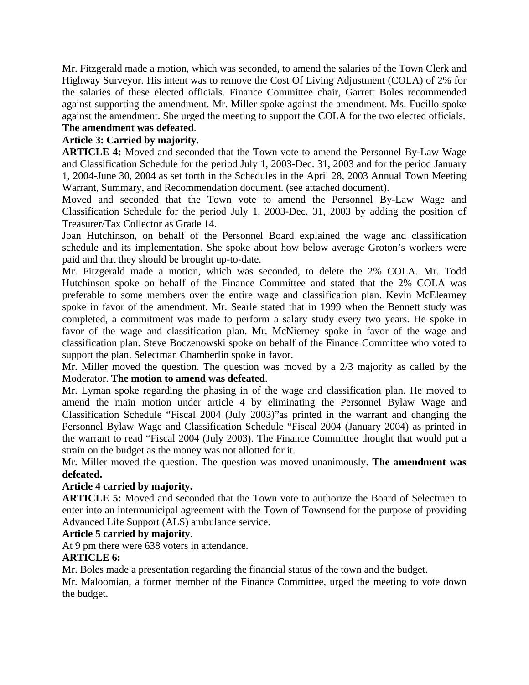Mr. Fitzgerald made a motion, which was seconded, to amend the salaries of the Town Clerk and Highway Surveyor. His intent was to remove the Cost Of Living Adjustment (COLA) of 2% for the salaries of these elected officials. Finance Committee chair, Garrett Boles recommended against supporting the amendment. Mr. Miller spoke against the amendment. Ms. Fucillo spoke against the amendment. She urged the meeting to support the COLA for the two elected officials. **The amendment was defeated**.

# **Article 3: Carried by majority.**

**ARTICLE 4:** Moved and seconded that the Town vote to amend the Personnel By-Law Wage and Classification Schedule for the period July 1, 2003-Dec. 31, 2003 and for the period January 1, 2004-June 30, 2004 as set forth in the Schedules in the April 28, 2003 Annual Town Meeting Warrant, Summary, and Recommendation document. (see attached document).

Moved and seconded that the Town vote to amend the Personnel By-Law Wage and Classification Schedule for the period July 1, 2003-Dec. 31, 2003 by adding the position of Treasurer/Tax Collector as Grade 14.

Joan Hutchinson, on behalf of the Personnel Board explained the wage and classification schedule and its implementation. She spoke about how below average Groton's workers were paid and that they should be brought up-to-date.

Mr. Fitzgerald made a motion, which was seconded, to delete the 2% COLA. Mr. Todd Hutchinson spoke on behalf of the Finance Committee and stated that the 2% COLA was preferable to some members over the entire wage and classification plan. Kevin McElearney spoke in favor of the amendment. Mr. Searle stated that in 1999 when the Bennett study was completed, a commitment was made to perform a salary study every two years. He spoke in favor of the wage and classification plan. Mr. McNierney spoke in favor of the wage and classification plan. Steve Boczenowski spoke on behalf of the Finance Committee who voted to support the plan. Selectman Chamberlin spoke in favor.

Mr. Miller moved the question. The question was moved by a 2/3 majority as called by the Moderator. **The motion to amend was defeated**.

Mr. Lyman spoke regarding the phasing in of the wage and classification plan. He moved to amend the main motion under article 4 by eliminating the Personnel Bylaw Wage and Classification Schedule "Fiscal 2004 (July 2003)"as printed in the warrant and changing the Personnel Bylaw Wage and Classification Schedule "Fiscal 2004 (January 2004) as printed in the warrant to read "Fiscal 2004 (July 2003). The Finance Committee thought that would put a strain on the budget as the money was not allotted for it.

Mr. Miller moved the question. The question was moved unanimously. **The amendment was defeated.**

#### **Article 4 carried by majority.**

**ARTICLE 5:** Moved and seconded that the Town vote to authorize the Board of Selectmen to enter into an intermunicipal agreement with the Town of Townsend for the purpose of providing Advanced Life Support (ALS) ambulance service.

#### **Article 5 carried by majority**.

At 9 pm there were 638 voters in attendance.

#### **ARTICLE 6:**

Mr. Boles made a presentation regarding the financial status of the town and the budget.

Mr. Maloomian, a former member of the Finance Committee, urged the meeting to vote down the budget.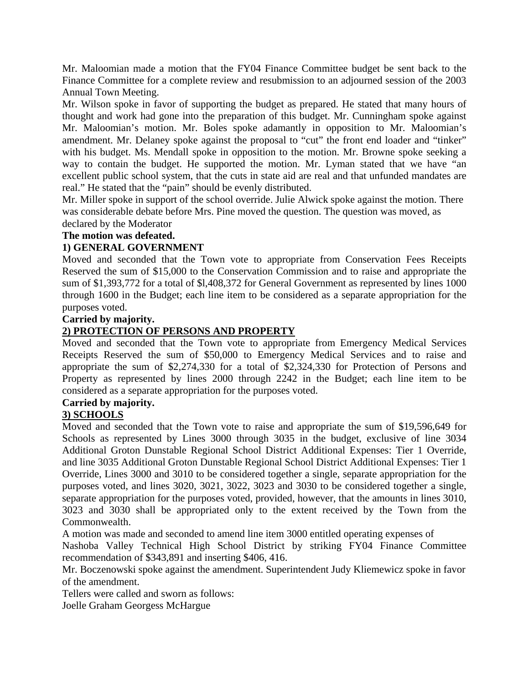Mr. Maloomian made a motion that the FY04 Finance Committee budget be sent back to the Finance Committee for a complete review and resubmission to an adjourned session of the 2003 Annual Town Meeting.

Mr. Wilson spoke in favor of supporting the budget as prepared. He stated that many hours of thought and work had gone into the preparation of this budget. Mr. Cunningham spoke against Mr. Maloomian's motion. Mr. Boles spoke adamantly in opposition to Mr. Maloomian's amendment. Mr. Delaney spoke against the proposal to "cut" the front end loader and "tinker" with his budget. Ms. Mendall spoke in opposition to the motion. Mr. Browne spoke seeking a way to contain the budget. He supported the motion. Mr. Lyman stated that we have "an excellent public school system, that the cuts in state aid are real and that unfunded mandates are real." He stated that the "pain" should be evenly distributed.

Mr. Miller spoke in support of the school override. Julie Alwick spoke against the motion. There was considerable debate before Mrs. Pine moved the question. The question was moved, as declared by the Moderator

#### **The motion was defeated.**

## **1) GENERAL GOVERNMENT**

Moved and seconded that the Town vote to appropriate from Conservation Fees Receipts Reserved the sum of \$15,000 to the Conservation Commission and to raise and appropriate the sum of \$1,393,772 for a total of \$l,408,372 for General Government as represented by lines 1000 through 1600 in the Budget; each line item to be considered as a separate appropriation for the purposes voted.

#### **Carried by majority.**

## **2) PROTECTION OF PERSONS AND PROPERTY**

Moved and seconded that the Town vote to appropriate from Emergency Medical Services Receipts Reserved the sum of \$50,000 to Emergency Medical Services and to raise and appropriate the sum of \$2,274,330 for a total of \$2,324,330 for Protection of Persons and Property as represented by lines 2000 through 2242 in the Budget; each line item to be considered as a separate appropriation for the purposes voted.

## **Carried by majority.**

# **3) SCHOOLS**

Moved and seconded that the Town vote to raise and appropriate the sum of \$19,596,649 for Schools as represented by Lines 3000 through 3035 in the budget, exclusive of line 3034 Additional Groton Dunstable Regional School District Additional Expenses: Tier 1 Override, and line 3035 Additional Groton Dunstable Regional School District Additional Expenses: Tier 1 Override, Lines 3000 and 3010 to be considered together a single, separate appropriation for the purposes voted, and lines 3020, 3021, 3022, 3023 and 3030 to be considered together a single, separate appropriation for the purposes voted, provided, however, that the amounts in lines 3010, 3023 and 3030 shall be appropriated only to the extent received by the Town from the Commonwealth.

A motion was made and seconded to amend line item 3000 entitled operating expenses of

Nashoba Valley Technical High School District by striking FY04 Finance Committee recommendation of \$343,891 and inserting \$406, 416.

Mr. Boczenowski spoke against the amendment. Superintendent Judy Kliemewicz spoke in favor of the amendment.

Tellers were called and sworn as follows:

Joelle Graham Georgess McHargue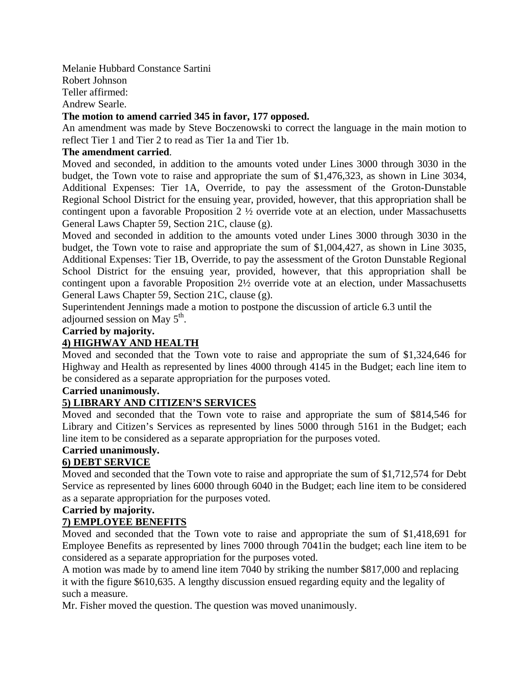Melanie Hubbard Constance Sartini Robert Johnson

Teller affirmed:

Andrew Searle.

# **The motion to amend carried 345 in favor, 177 opposed.**

An amendment was made by Steve Boczenowski to correct the language in the main motion to reflect Tier 1 and Tier 2 to read as Tier 1a and Tier 1b.

# **The amendment carried**.

Moved and seconded, in addition to the amounts voted under Lines 3000 through 3030 in the budget, the Town vote to raise and appropriate the sum of \$1,476,323, as shown in Line 3034, Additional Expenses: Tier 1A, Override, to pay the assessment of the Groton-Dunstable Regional School District for the ensuing year, provided, however, that this appropriation shall be contingent upon a favorable Proposition 2 ½ override vote at an election, under Massachusetts General Laws Chapter 59, Section 21C, clause (g).

Moved and seconded in addition to the amounts voted under Lines 3000 through 3030 in the budget, the Town vote to raise and appropriate the sum of \$1,004,427, as shown in Line 3035, Additional Expenses: Tier 1B, Override, to pay the assessment of the Groton Dunstable Regional School District for the ensuing year, provided, however, that this appropriation shall be contingent upon a favorable Proposition 2½ override vote at an election, under Massachusetts General Laws Chapter 59, Section 21C, clause (g).

Superintendent Jennings made a motion to postpone the discussion of article 6.3 until the adjourned session on May  $5<sup>th</sup>$ .

# **Carried by majority.**

# **4) HIGHWAY AND HEALTH**

Moved and seconded that the Town vote to raise and appropriate the sum of \$1,324,646 for Highway and Health as represented by lines 4000 through 4145 in the Budget; each line item to be considered as a separate appropriation for the purposes voted.

## **Carried unanimously.**

# **5) LIBRARY AND CITIZEN'S SERVICES**

Moved and seconded that the Town vote to raise and appropriate the sum of \$814,546 for Library and Citizen's Services as represented by lines 5000 through 5161 in the Budget; each line item to be considered as a separate appropriation for the purposes voted.

## **Carried unanimously.**

## **6) DEBT SERVICE**

Moved and seconded that the Town vote to raise and appropriate the sum of \$1,712,574 for Debt Service as represented by lines 6000 through 6040 in the Budget; each line item to be considered as a separate appropriation for the purposes voted.

## **Carried by majority.**

# **7) EMPLOYEE BENEFITS**

Moved and seconded that the Town vote to raise and appropriate the sum of \$1,418,691 for Employee Benefits as represented by lines 7000 through 7041in the budget; each line item to be considered as a separate appropriation for the purposes voted.

A motion was made by to amend line item 7040 by striking the number \$817,000 and replacing it with the figure \$610,635. A lengthy discussion ensued regarding equity and the legality of such a measure.

Mr. Fisher moved the question. The question was moved unanimously.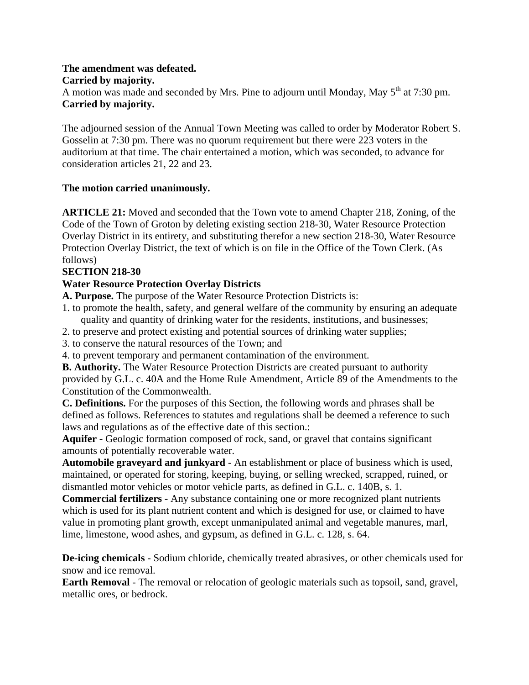### **The amendment was defeated. Carried by majority.**

A motion was made and seconded by Mrs. Pine to adjourn until Monday, May 5<sup>th</sup> at 7:30 pm. **Carried by majority.**

The adjourned session of the Annual Town Meeting was called to order by Moderator Robert S. Gosselin at 7:30 pm. There was no quorum requirement but there were 223 voters in the auditorium at that time. The chair entertained a motion, which was seconded, to advance for consideration articles 21, 22 and 23.

# **The motion carried unanimously.**

**ARTICLE 21:** Moved and seconded that the Town vote to amend Chapter 218, Zoning, of the Code of the Town of Groton by deleting existing section 218-30, Water Resource Protection Overlay District in its entirety, and substituting therefor a new section 218-30, Water Resource Protection Overlay District, the text of which is on file in the Office of the Town Clerk. (As follows)

## **SECTION 218-30**

## **Water Resource Protection Overlay Districts**

**A. Purpose.** The purpose of the Water Resource Protection Districts is:

- 1. to promote the health, safety, and general welfare of the community by ensuring an adequate quality and quantity of drinking water for the residents, institutions, and businesses;
- 2. to preserve and protect existing and potential sources of drinking water supplies;
- 3. to conserve the natural resources of the Town; and
- 4. to prevent temporary and permanent contamination of the environment.

**B. Authority.** The Water Resource Protection Districts are created pursuant to authority provided by G.L. c. 40A and the Home Rule Amendment, Article 89 of the Amendments to the Constitution of the Commonwealth.

**C. Definitions.** For the purposes of this Section, the following words and phrases shall be defined as follows. References to statutes and regulations shall be deemed a reference to such laws and regulations as of the effective date of this section.:

**Aquifer** - Geologic formation composed of rock, sand, or gravel that contains significant amounts of potentially recoverable water.

**Automobile graveyard and junkyard** - An establishment or place of business which is used, maintained, or operated for storing, keeping, buying, or selling wrecked, scrapped, ruined, or dismantled motor vehicles or motor vehicle parts, as defined in G.L. c. 140B, s. 1.

**Commercial fertilizers** - Any substance containing one or more recognized plant nutrients which is used for its plant nutrient content and which is designed for use, or claimed to have value in promoting plant growth, except unmanipulated animal and vegetable manures, marl, lime, limestone, wood ashes, and gypsum, as defined in G.L. c. 128, s. 64.

**De-icing chemicals** - Sodium chloride, chemically treated abrasives, or other chemicals used for snow and ice removal.

**Earth Removal** - The removal or relocation of geologic materials such as topsoil, sand, gravel, metallic ores, or bedrock.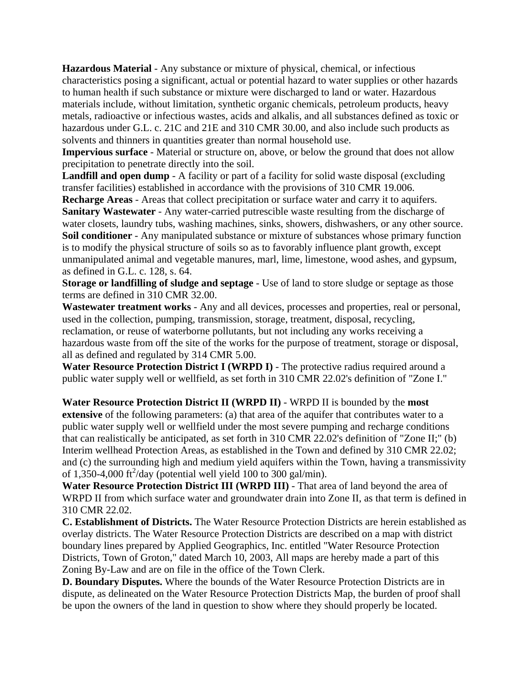**Hazardous Material** - Any substance or mixture of physical, chemical, or infectious characteristics posing a significant, actual or potential hazard to water supplies or other hazards to human health if such substance or mixture were discharged to land or water. Hazardous materials include, without limitation, synthetic organic chemicals, petroleum products, heavy metals, radioactive or infectious wastes, acids and alkalis, and all substances defined as toxic or hazardous under G.L. c. 21C and 21E and 310 CMR 30.00, and also include such products as solvents and thinners in quantities greater than normal household use.

**Impervious surface** - Material or structure on, above, or below the ground that does not allow precipitation to penetrate directly into the soil.

**Landfill and open dump** - A facility or part of a facility for solid waste disposal (excluding transfer facilities) established in accordance with the provisions of 310 CMR 19.006.

**Recharge Areas** - Areas that collect precipitation or surface water and carry it to aquifers. **Sanitary Wastewater** - Any water-carried putrescible waste resulting from the discharge of water closets, laundry tubs, washing machines, sinks, showers, dishwashers, or any other source. **Soil conditioner** - Any manipulated substance or mixture of substances whose primary function is to modify the physical structure of soils so as to favorably influence plant growth, except unmanipulated animal and vegetable manures, marl, lime, limestone, wood ashes, and gypsum, as defined in G.L. c. 128, s. 64.

**Storage or landfilling of sludge and septage** - Use of land to store sludge or septage as those terms are defined in 310 CMR 32.00.

**Wastewater treatment works** - Any and all devices, processes and properties, real or personal, used in the collection, pumping, transmission, storage, treatment, disposal, recycling, reclamation, or reuse of waterborne pollutants, but not including any works receiving a hazardous waste from off the site of the works for the purpose of treatment, storage or disposal, all as defined and regulated by 314 CMR 5.00.

**Water Resource Protection District I (WRPD I)** - The protective radius required around a public water supply well or wellfield, as set forth in 310 CMR 22.02's definition of "Zone I."

**Water Resource Protection District II (WRPD II)** - WRPD II is bounded by the **most extensive** of the following parameters: (a) that area of the aquifer that contributes water to a public water supply well or wellfield under the most severe pumping and recharge conditions that can realistically be anticipated, as set forth in 310 CMR 22.02's definition of "Zone II;" (b) Interim wellhead Protection Areas, as established in the Town and defined by 310 CMR 22.02; and (c) the surrounding high and medium yield aquifers within the Town, having a transmissivity of 1,350-4,000 ft<sup>2</sup>/day (potential well yield 100 to 300 gal/min).

**Water Resource Protection District III (WRPD III)** - That area of land beyond the area of WRPD II from which surface water and groundwater drain into Zone II, as that term is defined in 310 CMR 22.02.

**C. Establishment of Districts.** The Water Resource Protection Districts are herein established as overlay districts. The Water Resource Protection Districts are described on a map with district boundary lines prepared by Applied Geographics, Inc. entitled "Water Resource Protection Districts, Town of Groton," dated March 10, 2003, All maps are hereby made a part of this Zoning By-Law and are on file in the office of the Town Clerk.

**D. Boundary Disputes.** Where the bounds of the Water Resource Protection Districts are in dispute, as delineated on the Water Resource Protection Districts Map, the burden of proof shall be upon the owners of the land in question to show where they should properly be located.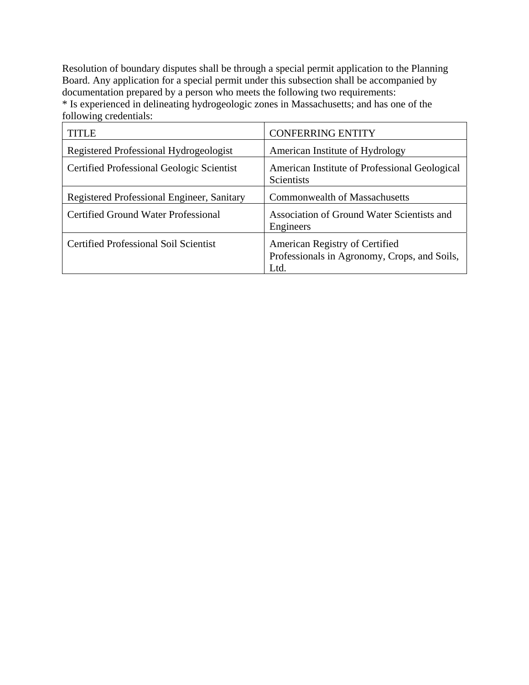Resolution of boundary disputes shall be through a special permit application to the Planning Board. Any application for a special permit under this subsection shall be accompanied by documentation prepared by a person who meets the following two requirements: \* Is experienced in delineating hydrogeologic zones in Massachusetts; and has one of the following credentials:

| TITLE                                      | <b>CONFERRING ENTITY</b>                                                               |
|--------------------------------------------|----------------------------------------------------------------------------------------|
| Registered Professional Hydrogeologist     | American Institute of Hydrology                                                        |
| Certified Professional Geologic Scientist  | American Institute of Professional Geological<br><b>Scientists</b>                     |
| Registered Professional Engineer, Sanitary | <b>Commonwealth of Massachusetts</b>                                                   |
| Certified Ground Water Professional        | Association of Ground Water Scientists and<br>Engineers                                |
| Certified Professional Soil Scientist      | American Registry of Certified<br>Professionals in Agronomy, Crops, and Soils,<br>Ltd. |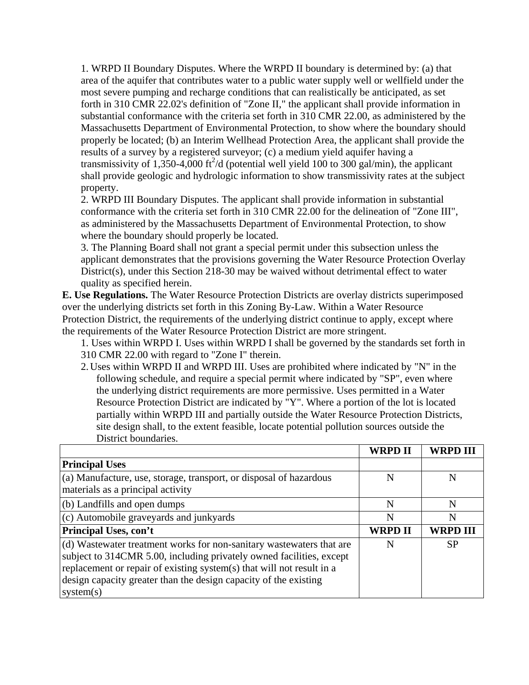1. WRPD II Boundary Disputes. Where the WRPD II boundary is determined by: (a) that area of the aquifer that contributes water to a public water supply well or wellfield under the most severe pumping and recharge conditions that can realistically be anticipated, as set forth in 310 CMR 22.02's definition of "Zone II," the applicant shall provide information in substantial conformance with the criteria set forth in 310 CMR 22.00, as administered by the Massachusetts Department of Environmental Protection, to show where the boundary should properly be located; (b) an Interim Wellhead Protection Area, the applicant shall provide the results of a survey by a registered surveyor; (c) a medium yield aquifer having a transmissivity of 1,350-4,000 ft<sup>2</sup>/d (potential well yield 100 to 300 gal/min), the applicant shall provide geologic and hydrologic information to show transmissivity rates at the subject property.

2. WRPD III Boundary Disputes. The applicant shall provide information in substantial conformance with the criteria set forth in 310 CMR 22.00 for the delineation of "Zone III", as administered by the Massachusetts Department of Environmental Protection, to show where the boundary should properly be located.

3. The Planning Board shall not grant a special permit under this subsection unless the applicant demonstrates that the provisions governing the Water Resource Protection Overlay District(s), under this Section 218-30 may be waived without detrimental effect to water quality as specified herein.

**E. Use Regulations.** The Water Resource Protection Districts are overlay districts superimposed over the underlying districts set forth in this Zoning By-Law. Within a Water Resource Protection District, the requirements of the underlying district continue to apply, except where the requirements of the Water Resource Protection District are more stringent.

- 1. Uses within WRPD I. Uses within WRPD I shall be governed by the standards set forth in 310 CMR 22.00 with regard to "Zone I" therein.
- 2. Uses within WRPD II and WRPD III. Uses are prohibited where indicated by "N" in the following schedule, and require a special permit where indicated by "SP", even where the underlying district requirements are more permissive. Uses permitted in a Water Resource Protection District are indicated by "Y". Where a portion of the lot is located partially within WRPD III and partially outside the Water Resource Protection Districts, site design shall, to the extent feasible, locate potential pollution sources outside the District boundaries.

|                                                                       | <b>WRPD II</b> | <b>WRPD III</b> |
|-----------------------------------------------------------------------|----------------|-----------------|
| <b>Principal Uses</b>                                                 |                |                 |
| (a) Manufacture, use, storage, transport, or disposal of hazardous    | N              | N               |
| materials as a principal activity                                     |                |                 |
| (b) Landfills and open dumps                                          | N              | N               |
| (c) Automobile graveyards and junkyards                               | N              | N               |
| <b>Principal Uses, con't</b>                                          | <b>WRPD II</b> | <b>WRPD III</b> |
| (d) Wastewater treatment works for non-sanitary wastewaters that are  | N              | <b>SP</b>       |
| subject to 314CMR 5.00, including privately owned facilities, except  |                |                 |
| replacement or repair of existing system(s) that will not result in a |                |                 |
| design capacity greater than the design capacity of the existing      |                |                 |
| system(s)                                                             |                |                 |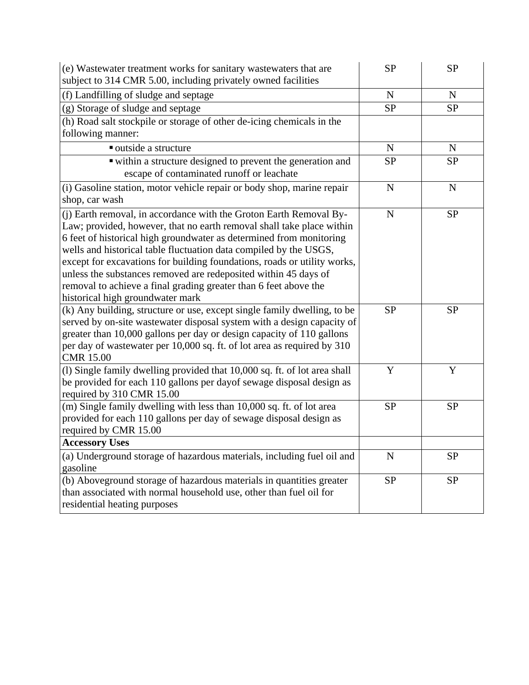| (e) Wastewater treatment works for sanitary wastewaters that are                            | <b>SP</b>   | <b>SP</b>   |
|---------------------------------------------------------------------------------------------|-------------|-------------|
| subject to 314 CMR 5.00, including privately owned facilities                               |             |             |
| (f) Landfilling of sludge and septage                                                       | $\mathbf N$ | $\mathbf N$ |
| (g) Storage of sludge and septage                                                           | <b>SP</b>   | SP          |
| (h) Road salt stockpile or storage of other de-icing chemicals in the                       |             |             |
| following manner:                                                                           |             |             |
| outside a structure                                                                         | $\mathbf N$ | $\mathbf N$ |
| " within a structure designed to prevent the generation and                                 | <b>SP</b>   | <b>SP</b>   |
| escape of contaminated runoff or leachate                                                   |             |             |
| (i) Gasoline station, motor vehicle repair or body shop, marine repair                      | $\mathbf N$ | ${\bf N}$   |
| shop, car wash                                                                              |             |             |
| (j) Earth removal, in accordance with the Groton Earth Removal By-                          | $\mathbf N$ | <b>SP</b>   |
| Law; provided, however, that no earth removal shall take place within                       |             |             |
| 6 feet of historical high groundwater as determined from monitoring                         |             |             |
| wells and historical table fluctuation data compiled by the USGS,                           |             |             |
| except for excavations for building foundations, roads or utility works,                    |             |             |
| unless the substances removed are redeposited within 45 days of                             |             |             |
| removal to achieve a final grading greater than 6 feet above the                            |             |             |
| historical high groundwater mark                                                            |             |             |
| (k) Any building, structure or use, except single family dwelling, to be                    | <b>SP</b>   | <b>SP</b>   |
| served by on-site wastewater disposal system with a design capacity of                      |             |             |
| greater than 10,000 gallons per day or design capacity of 110 gallons                       |             |             |
| per day of wastewater per 10,000 sq. ft. of lot area as required by 310<br><b>CMR 15.00</b> |             |             |
| (l) Single family dwelling provided that 10,000 sq. ft. of lot area shall                   | Y           | Y           |
| be provided for each 110 gallons per day of sewage disposal design as                       |             |             |
| required by 310 CMR 15.00                                                                   |             |             |
| (m) Single family dwelling with less than 10,000 sq. ft. of lot area                        | <b>SP</b>   | <b>SP</b>   |
| provided for each 110 gallons per day of sewage disposal design as                          |             |             |
| required by CMR 15.00                                                                       |             |             |
| <b>Accessory Uses</b>                                                                       |             |             |
| (a) Underground storage of hazardous materials, including fuel oil and                      | $\mathbf N$ | <b>SP</b>   |
| gasoline                                                                                    |             |             |
| (b) Aboveground storage of hazardous materials in quantities greater                        | <b>SP</b>   | <b>SP</b>   |
| than associated with normal household use, other than fuel oil for                          |             |             |
| residential heating purposes                                                                |             |             |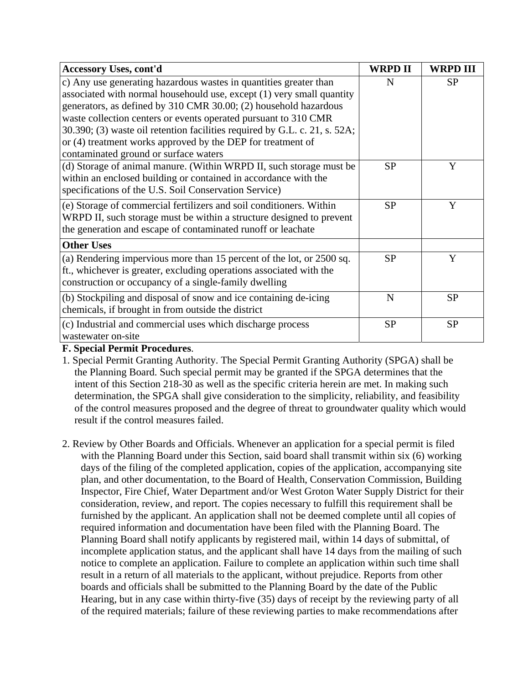| <b>Accessory Uses, cont'd</b>                                                                                                                                                                                                                                                                                                                                                                                                                                           | <b>WRPD II</b> | <b>WRPD III</b> |
|-------------------------------------------------------------------------------------------------------------------------------------------------------------------------------------------------------------------------------------------------------------------------------------------------------------------------------------------------------------------------------------------------------------------------------------------------------------------------|----------------|-----------------|
| c) Any use generating hazardous wastes in quantities greater than<br>associated with normal househould use, except (1) very small quantity<br>generators, as defined by 310 CMR 30.00; (2) household hazardous<br>waste collection centers or events operated pursuant to 310 CMR<br>30.390; (3) waste oil retention facilities required by G.L. c. 21, s. 52A;<br>or (4) treatment works approved by the DEP for treatment of<br>contaminated ground or surface waters | N              | <b>SP</b>       |
| (d) Storage of animal manure. (Within WRPD II, such storage must be<br>within an enclosed building or contained in accordance with the<br>specifications of the U.S. Soil Conservation Service)                                                                                                                                                                                                                                                                         | <b>SP</b>      | Y               |
| (e) Storage of commercial fertilizers and soil conditioners. Within<br>WRPD II, such storage must be within a structure designed to prevent<br>the generation and escape of contaminated runoff or leachate                                                                                                                                                                                                                                                             | <b>SP</b>      | Y               |
| <b>Other Uses</b>                                                                                                                                                                                                                                                                                                                                                                                                                                                       |                |                 |
| (a) Rendering impervious more than 15 percent of the lot, or $2500$ sq.<br>ft., whichever is greater, excluding operations associated with the<br>construction or occupancy of a single-family dwelling                                                                                                                                                                                                                                                                 | <b>SP</b>      | Y               |
| (b) Stockpiling and disposal of snow and ice containing de-icing<br>chemicals, if brought in from outside the district                                                                                                                                                                                                                                                                                                                                                  | N              | <b>SP</b>       |
| (c) Industrial and commercial uses which discharge process<br>wastewater on-site                                                                                                                                                                                                                                                                                                                                                                                        | <b>SP</b>      | <b>SP</b>       |

## **F. Special Permit Procedures**.

- 1. Special Permit Granting Authority. The Special Permit Granting Authority (SPGA) shall be the Planning Board. Such special permit may be granted if the SPGA determines that the intent of this Section 218-30 as well as the specific criteria herein are met. In making such determination, the SPGA shall give consideration to the simplicity, reliability, and feasibility of the control measures proposed and the degree of threat to groundwater quality which would result if the control measures failed.
- 2. Review by Other Boards and Officials. Whenever an application for a special permit is filed with the Planning Board under this Section, said board shall transmit within six (6) working days of the filing of the completed application, copies of the application, accompanying site plan, and other documentation, to the Board of Health, Conservation Commission, Building Inspector, Fire Chief, Water Department and/or West Groton Water Supply District for their consideration, review, and report. The copies necessary to fulfill this requirement shall be furnished by the applicant. An application shall not be deemed complete until all copies of required information and documentation have been filed with the Planning Board. The Planning Board shall notify applicants by registered mail, within 14 days of submittal, of incomplete application status, and the applicant shall have 14 days from the mailing of such notice to complete an application. Failure to complete an application within such time shall result in a return of all materials to the applicant, without prejudice. Reports from other boards and officials shall be submitted to the Planning Board by the date of the Public Hearing, but in any case within thirty-five (35) days of receipt by the reviewing party of all of the required materials; failure of these reviewing parties to make recommendations after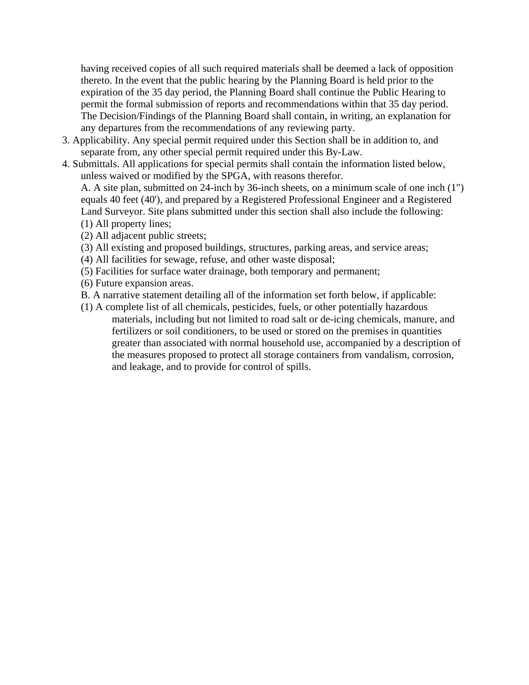having received copies of all such required materials shall be deemed a lack of opposition thereto. In the event that the public hearing by the Planning Board is held prior to the expiration of the 35 day period, the Planning Board shall continue the Public Hearing to permit the formal submission of reports and recommendations within that 35 day period. The Decision/Findings of the Planning Board shall contain, in writing, an explanation for any departures from the recommendations of any reviewing party.

- 3. Applicability. Any special permit required under this Section shall be in addition to, and separate from, any other special permit required under this By-Law.
- 4. Submittals. All applications for special permits shall contain the information listed below, unless waived or modified by the SPGA, with reasons therefor.

A. A site plan, submitted on 24-inch by 36-inch sheets, on a minimum scale of one inch (1") equals 40 feet (40'), and prepared by a Registered Professional Engineer and a Registered Land Surveyor. Site plans submitted under this section shall also include the following: (1) All property lines;

- (2) All adjacent public streets;
- (3) All existing and proposed buildings, structures, parking areas, and service areas;
- (4) All facilities for sewage, refuse, and other waste disposal;
- (5) Facilities for surface water drainage, both temporary and permanent;
- (6) Future expansion areas.
- B. A narrative statement detailing all of the information set forth below, if applicable:
- (1) A complete list of all chemicals, pesticides, fuels, or other potentially hazardous materials, including but not limited to road salt or de-icing chemicals, manure, and fertilizers or soil conditioners, to be used or stored on the premises in quantities greater than associated with normal household use, accompanied by a description of the measures proposed to protect all storage containers from vandalism, corrosion, and leakage, and to provide for control of spills.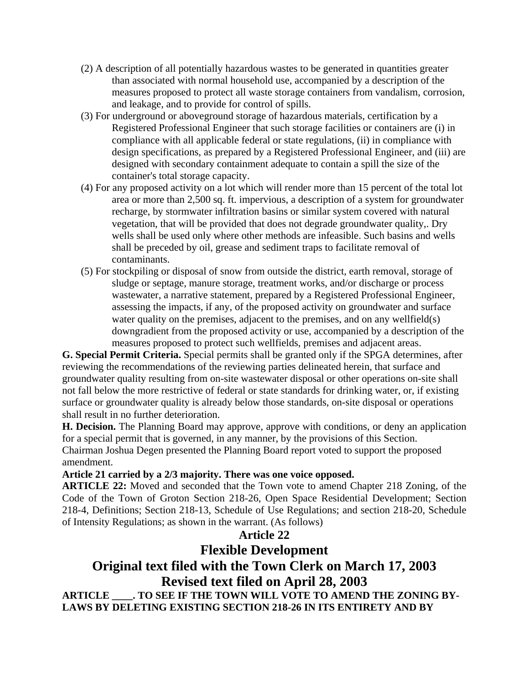- (2) A description of all potentially hazardous wastes to be generated in quantities greater than associated with normal household use, accompanied by a description of the measures proposed to protect all waste storage containers from vandalism, corrosion, and leakage, and to provide for control of spills.
- (3) For underground or aboveground storage of hazardous materials, certification by a Registered Professional Engineer that such storage facilities or containers are (i) in compliance with all applicable federal or state regulations, (ii) in compliance with design specifications, as prepared by a Registered Professional Engineer, and (iii) are designed with secondary containment adequate to contain a spill the size of the container's total storage capacity.
- (4) For any proposed activity on a lot which will render more than 15 percent of the total lot area or more than 2,500 sq. ft. impervious, a description of a system for groundwater recharge, by stormwater infiltration basins or similar system covered with natural vegetation, that will be provided that does not degrade groundwater quality,. Dry wells shall be used only where other methods are infeasible. Such basins and wells shall be preceded by oil, grease and sediment traps to facilitate removal of contaminants.
- (5) For stockpiling or disposal of snow from outside the district, earth removal, storage of sludge or septage, manure storage, treatment works, and/or discharge or process wastewater, a narrative statement, prepared by a Registered Professional Engineer, assessing the impacts, if any, of the proposed activity on groundwater and surface water quality on the premises, adjacent to the premises, and on any wellfield(s) downgradient from the proposed activity or use, accompanied by a description of the measures proposed to protect such wellfields, premises and adjacent areas.

**G. Special Permit Criteria.** Special permits shall be granted only if the SPGA determines, after reviewing the recommendations of the reviewing parties delineated herein, that surface and groundwater quality resulting from on-site wastewater disposal or other operations on-site shall not fall below the more restrictive of federal or state standards for drinking water, or, if existing surface or groundwater quality is already below those standards, on-site disposal or operations shall result in no further deterioration.

**H. Decision.** The Planning Board may approve, approve with conditions, or deny an application for a special permit that is governed, in any manner, by the provisions of this Section. Chairman Joshua Degen presented the Planning Board report voted to support the proposed amendment.

# **Article 21 carried by a 2/3 majority. There was one voice opposed.**

**ARTICLE 22:** Moved and seconded that the Town vote to amend Chapter 218 Zoning, of the Code of the Town of Groton Section 218-26, Open Space Residential Development; Section 218-4, Definitions; Section 218-13, Schedule of Use Regulations; and section 218-20, Schedule of Intensity Regulations; as shown in the warrant. (As follows)

# **Article 22**

# **Flexible Development**

# **Original text filed with the Town Clerk on March 17, 2003 Revised text filed on April 28, 2003**

**ARTICLE \_\_\_\_. TO SEE IF THE TOWN WILL VOTE TO AMEND THE ZONING BY-LAWS BY DELETING EXISTING SECTION 218-26 IN ITS ENTIRETY AND BY**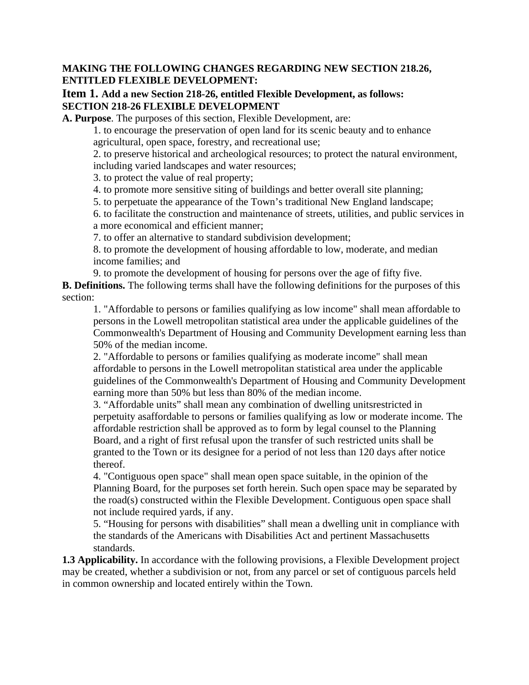#### **MAKING THE FOLLOWING CHANGES REGARDING NEW SECTION 218.26, ENTITLED FLEXIBLE DEVELOPMENT:**

#### **Item 1. Add a new Section 218-26, entitled Flexible Development, as follows: SECTION 218-26 FLEXIBLE DEVELOPMENT**

**A. Purpose**. The purposes of this section, Flexible Development, are:

1. to encourage the preservation of open land for its scenic beauty and to enhance agricultural, open space, forestry, and recreational use;

2. to preserve historical and archeological resources; to protect the natural environment, including varied landscapes and water resources;

3. to protect the value of real property;

4. to promote more sensitive siting of buildings and better overall site planning;

5. to perpetuate the appearance of the Town's traditional New England landscape;

6. to facilitate the construction and maintenance of streets, utilities, and public services in a more economical and efficient manner;

7. to offer an alternative to standard subdivision development;

8. to promote the development of housing affordable to low, moderate, and median income families; and

9. to promote the development of housing for persons over the age of fifty five.

**B. Definitions.** The following terms shall have the following definitions for the purposes of this section:

1. "Affordable to persons or families qualifying as low income" shall mean affordable to persons in the Lowell metropolitan statistical area under the applicable guidelines of the Commonwealth's Department of Housing and Community Development earning less than 50% of the median income.

2. "Affordable to persons or families qualifying as moderate income" shall mean affordable to persons in the Lowell metropolitan statistical area under the applicable guidelines of the Commonwealth's Department of Housing and Community Development earning more than 50% but less than 80% of the median income.

3. "Affordable units" shall mean any combination of dwelling unitsrestricted in perpetuity asaffordable to persons or families qualifying as low or moderate income*.* The affordable restriction shall be approved as to form by legal counsel to the Planning Board, and a right of first refusal upon the transfer of such restricted units shall be granted to the Town or its designee for a period of not less than 120 days after notice thereof.

4. "Contiguous open space" shall mean open space suitable, in the opinion of the Planning Board, for the purposes set forth herein. Such open space may be separated by the road(s) constructed within the Flexible Development. Contiguous open space shall not include required yards, if any.

5. "Housing for persons with disabilities" shall mean a dwelling unit in compliance with the standards of the Americans with Disabilities Act and pertinent Massachusetts standards.

**1.3 Applicability.** In accordance with the following provisions, a Flexible Development project may be created, whether a subdivision or not, from any parcel or set of contiguous parcels held in common ownership and located entirely within the Town.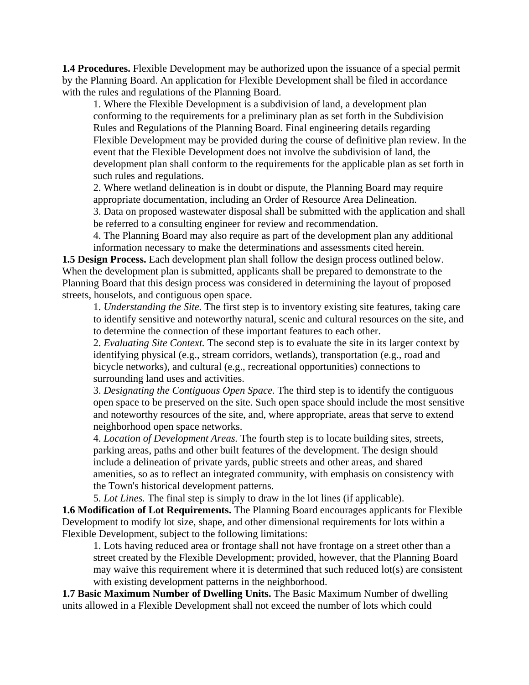**1.4 Procedures.** Flexible Development may be authorized upon the issuance of a special permit by the Planning Board. An application for Flexible Development shall be filed in accordance with the rules and regulations of the Planning Board.

1. Where the Flexible Development is a subdivision of land, a development plan conforming to the requirements for a preliminary plan as set forth in the Subdivision Rules and Regulations of the Planning Board. Final engineering details regarding Flexible Development may be provided during the course of definitive plan review. In the event that the Flexible Development does not involve the subdivision of land, the development plan shall conform to the requirements for the applicable plan as set forth in such rules and regulations.

2. Where wetland delineation is in doubt or dispute, the Planning Board may require appropriate documentation, including an Order of Resource Area Delineation.

3. Data on proposed wastewater disposal shall be submitted with the application and shall be referred to a consulting engineer for review and recommendation.

4. The Planning Board may also require as part of the development plan any additional information necessary to make the determinations and assessments cited herein.

**1.5 Design Process.** Each development plan shall follow the design process outlined below. When the development plan is submitted, applicants shall be prepared to demonstrate to the Planning Board that this design process was considered in determining the layout of proposed streets, houselots, and contiguous open space.

1. *Understanding the Site.* The first step is to inventory existing site features, taking care to identify sensitive and noteworthy natural, scenic and cultural resources on the site, and to determine the connection of these important features to each other.

2. *Evaluating Site Context.* The second step is to evaluate the site in its larger context by identifying physical (e.g., stream corridors, wetlands), transportation (e.g., road and bicycle networks), and cultural (e.g., recreational opportunities) connections to surrounding land uses and activities.

3. *Designating the Contiguous Open Space.* The third step is to identify the contiguous open space to be preserved on the site. Such open space should include the most sensitive and noteworthy resources of the site, and, where appropriate, areas that serve to extend neighborhood open space networks.

4. *Location of Development Areas.* The fourth step is to locate building sites, streets, parking areas, paths and other built features of the development. The design should include a delineation of private yards, public streets and other areas, and shared amenities, so as to reflect an integrated community, with emphasis on consistency with the Town's historical development patterns.

5. *Lot Lines.* The final step is simply to draw in the lot lines (if applicable).

**1.6 Modification of Lot Requirements.** The Planning Board encourages applicants for Flexible Development to modify lot size, shape, and other dimensional requirements for lots within a Flexible Development, subject to the following limitations:

1. Lots having reduced area or frontage shall not have frontage on a street other than a street created by the Flexible Development; provided, however, that the Planning Board may waive this requirement where it is determined that such reduced lot(s) are consistent with existing development patterns in the neighborhood.

**1.7 Basic Maximum Number of Dwelling Units.** The Basic Maximum Number of dwelling units allowed in a Flexible Development shall not exceed the number of lots which could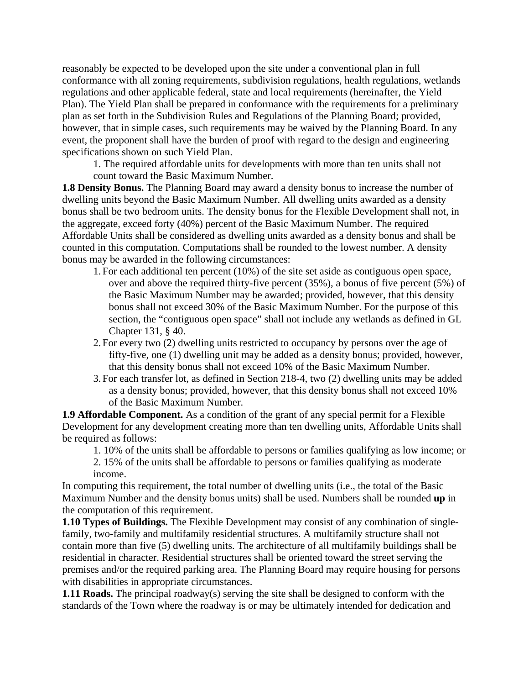reasonably be expected to be developed upon the site under a conventional plan in full conformance with all zoning requirements, subdivision regulations, health regulations, wetlands regulations and other applicable federal, state and local requirements (hereinafter, the Yield Plan). The Yield Plan shall be prepared in conformance with the requirements for a preliminary plan as set forth in the Subdivision Rules and Regulations of the Planning Board; provided, however, that in simple cases, such requirements may be waived by the Planning Board. In any event, the proponent shall have the burden of proof with regard to the design and engineering specifications shown on such Yield Plan.

1. The required affordable units for developments with more than ten units shall not count toward the Basic Maximum Number.

**1.8 Density Bonus.** The Planning Board may award a density bonus to increase the number of dwelling units beyond the Basic Maximum Number. All dwelling units awarded as a density bonus shall be two bedroom units. The density bonus for the Flexible Development shall not, in the aggregate, exceed forty (40%) percent of the Basic Maximum Number. The required Affordable Units shall be considered as dwelling units awarded as a density bonus and shall be counted in this computation. Computations shall be rounded to the lowest number. A density bonus may be awarded in the following circumstances:

- 1. For each additional ten percent (10%) of the site set aside as contiguous open space, over and above the required thirty-five percent (35%), a bonus of five percent (5%) of the Basic Maximum Number may be awarded; provided, however, that this density bonus shall not exceed 30% of the Basic Maximum Number. For the purpose of this section, the "contiguous open space" shall not include any wetlands as defined in GL Chapter 131, § 40.
- 2. For every two (2) dwelling units restricted to occupancy by persons over the age of fifty-five, one (1) dwelling unit may be added as a density bonus; provided, however, that this density bonus shall not exceed 10% of the Basic Maximum Number.
- 3. For each transfer lot, as defined in Section 218-4, two (2) dwelling units may be added as a density bonus; provided, however, that this density bonus shall not exceed 10% of the Basic Maximum Number.

**1.9 Affordable Component.** As a condition of the grant of any special permit for a Flexible Development for any development creating more than ten dwelling units, Affordable Units shall be required as follows:

- 1. 10% of the units shall be affordable to persons or families qualifying as low income; or
- 2. 15% of the units shall be affordable to persons or families qualifying as moderate income.

In computing this requirement, the total number of dwelling units (i.e., the total of the Basic Maximum Number and the density bonus units) shall be used. Numbers shall be rounded **up** in the computation of this requirement.

**1.10 Types of Buildings.** The Flexible Development may consist of any combination of singlefamily, two-family and multifamily residential structures. A multifamily structure shall not contain more than five (5) dwelling units. The architecture of all multifamily buildings shall be residential in character. Residential structures shall be oriented toward the street serving the premises and/or the required parking area. The Planning Board may require housing for persons with disabilities in appropriate circumstances.

**1.11 Roads.** The principal roadway(s) serving the site shall be designed to conform with the standards of the Town where the roadway is or may be ultimately intended for dedication and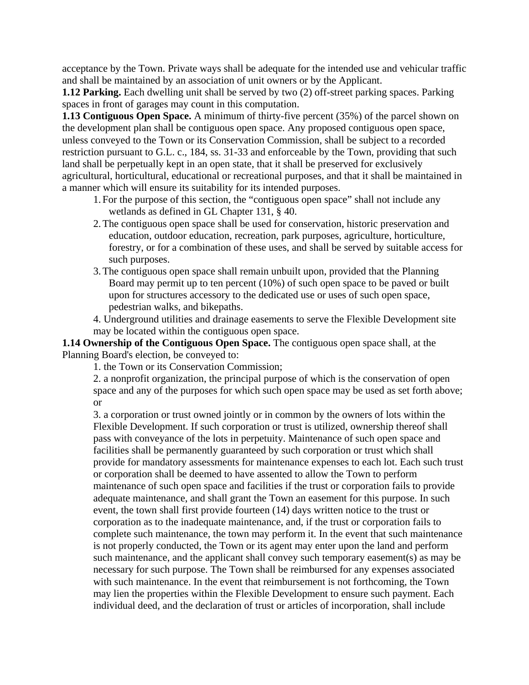acceptance by the Town. Private ways shall be adequate for the intended use and vehicular traffic and shall be maintained by an association of unit owners or by the Applicant.

**1.12 Parking.** Each dwelling unit shall be served by two (2) off-street parking spaces. Parking spaces in front of garages may count in this computation.

**1.13 Contiguous Open Space.** A minimum of thirty-five percent (35%) of the parcel shown on the development plan shall be contiguous open space. Any proposed contiguous open space, unless conveyed to the Town or its Conservation Commission, shall be subject to a recorded restriction pursuant to G.L. c., 184, ss. 31-33 and enforceable by the Town, providing that such land shall be perpetually kept in an open state, that it shall be preserved for exclusively agricultural, horticultural, educational or recreational purposes, and that it shall be maintained in a manner which will ensure its suitability for its intended purposes.

- 1. For the purpose of this section, the "contiguous open space" shall not include any wetlands as defined in GL Chapter 131, § 40.
- 2.The contiguous open space shall be used for conservation, historic preservation and education, outdoor education, recreation, park purposes, agriculture, horticulture, forestry, or for a combination of these uses, and shall be served by suitable access for such purposes.
- 3.The contiguous open space shall remain unbuilt upon, provided that the Planning Board may permit up to ten percent (10%) of such open space to be paved or built upon for structures accessory to the dedicated use or uses of such open space, pedestrian walks, and bikepaths.
- 4. Underground utilities and drainage easements to serve the Flexible Development site may be located within the contiguous open space.

**1.14 Ownership of the Contiguous Open Space.** The contiguous open space shall, at the Planning Board's election, be conveyed to:

1. the Town or its Conservation Commission;

2. a nonprofit organization, the principal purpose of which is the conservation of open space and any of the purposes for which such open space may be used as set forth above; or

3. a corporation or trust owned jointly or in common by the owners of lots within the Flexible Development. If such corporation or trust is utilized, ownership thereof shall pass with conveyance of the lots in perpetuity. Maintenance of such open space and facilities shall be permanently guaranteed by such corporation or trust which shall provide for mandatory assessments for maintenance expenses to each lot. Each such trust or corporation shall be deemed to have assented to allow the Town to perform maintenance of such open space and facilities if the trust or corporation fails to provide adequate maintenance, and shall grant the Town an easement for this purpose. In such event, the town shall first provide fourteen (14) days written notice to the trust or corporation as to the inadequate maintenance, and, if the trust or corporation fails to complete such maintenance, the town may perform it. In the event that such maintenance is not properly conducted, the Town or its agent may enter upon the land and perform such maintenance, and the applicant shall convey such temporary easement(s) as may be necessary for such purpose. The Town shall be reimbursed for any expenses associated with such maintenance. In the event that reimbursement is not forthcoming, the Town may lien the properties within the Flexible Development to ensure such payment. Each individual deed, and the declaration of trust or articles of incorporation, shall include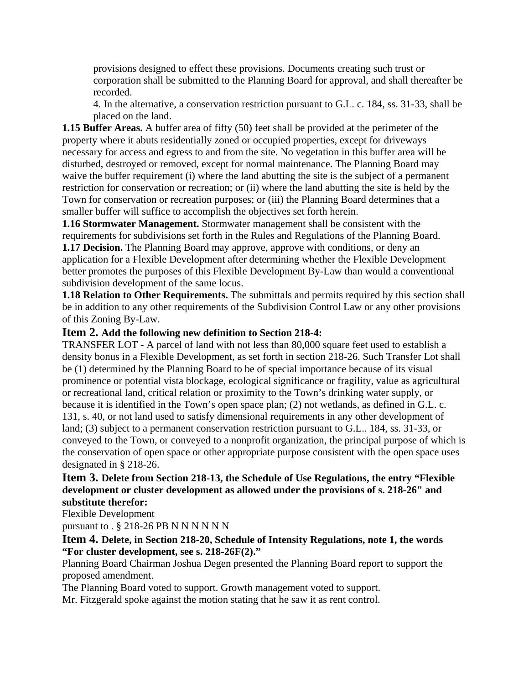provisions designed to effect these provisions. Documents creating such trust or corporation shall be submitted to the Planning Board for approval, and shall thereafter be recorded.

4. In the alternative, a conservation restriction pursuant to G.L. c. 184, ss. 31-33, shall be placed on the land.

**1.15 Buffer Areas.** A buffer area of fifty (50) feet shall be provided at the perimeter of the property where it abuts residentially zoned or occupied properties, except for driveways necessary for access and egress to and from the site. No vegetation in this buffer area will be disturbed, destroyed or removed, except for normal maintenance. The Planning Board may waive the buffer requirement (i) where the land abutting the site is the subject of a permanent restriction for conservation or recreation; or (ii) where the land abutting the site is held by the Town for conservation or recreation purposes; or (iii) the Planning Board determines that a smaller buffer will suffice to accomplish the objectives set forth herein.

**1.16 Stormwater Management.** Stormwater management shall be consistent with the requirements for subdivisions set forth in the Rules and Regulations of the Planning Board.

**1.17 Decision.** The Planning Board may approve, approve with conditions, or deny an application for a Flexible Development after determining whether the Flexible Development better promotes the purposes of this Flexible Development By-Law than would a conventional subdivision development of the same locus.

**1.18 Relation to Other Requirements.** The submittals and permits required by this section shall be in addition to any other requirements of the Subdivision Control Law or any other provisions of this Zoning By-Law.

# **Item 2. Add the following new definition to Section 218-4:**

TRANSFER LOT - A parcel of land with not less than 80,000 square feet used to establish a density bonus in a Flexible Development, as set forth in section 218-26. Such Transfer Lot shall be (1) determined by the Planning Board to be of special importance because of its visual prominence or potential vista blockage, ecological significance or fragility, value as agricultural or recreational land, critical relation or proximity to the Town's drinking water supply, or because it is identified in the Town's open space plan; (2) not wetlands, as defined in G.L. c. 131, s. 40, or not land used to satisfy dimensional requirements in any other development of land; (3) subject to a permanent conservation restriction pursuant to G.L.. 184, ss. 31-33, or conveyed to the Town, or conveyed to a nonprofit organization, the principal purpose of which is the conservation of open space or other appropriate purpose consistent with the open space uses designated in § 218-26.

# **Item 3. Delete from Section 218-13, the Schedule of Use Regulations, the entry "Flexible development or cluster development as allowed under the provisions of s. 218-26" and substitute therefor:**

Flexible Development

pursuant to .  $\S 218-26$  PB N N N N N N

## **Item 4. Delete, in Section 218-20, Schedule of Intensity Regulations, note 1, the words "For cluster development, see s. 218-26F(2)."**

Planning Board Chairman Joshua Degen presented the Planning Board report to support the proposed amendment.

The Planning Board voted to support. Growth management voted to support.

Mr. Fitzgerald spoke against the motion stating that he saw it as rent control.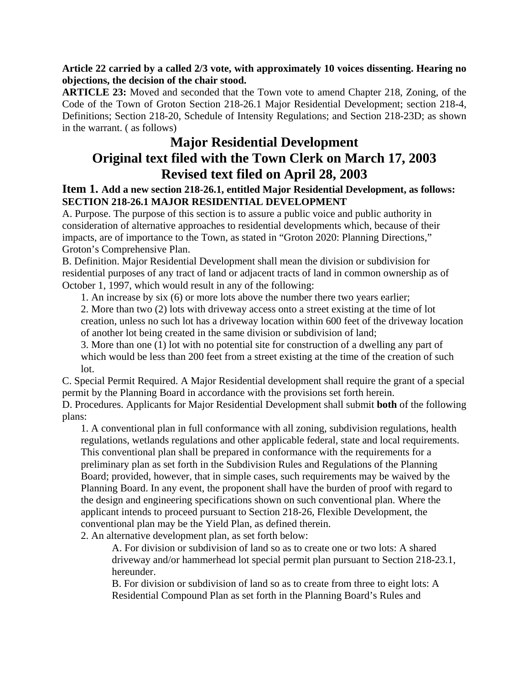## **Article 22 carried by a called 2/3 vote, with approximately 10 voices dissenting. Hearing no objections, the decision of the chair stood.**

**ARTICLE 23:** Moved and seconded that the Town vote to amend Chapter 218, Zoning, of the Code of the Town of Groton Section 218-26.1 Major Residential Development; section 218-4, Definitions; Section 218-20, Schedule of Intensity Regulations; and Section 218-23D; as shown in the warrant. ( as follows)

# **Major Residential Development Original text filed with the Town Clerk on March 17, 2003 Revised text filed on April 28, 2003**

# **Item 1. Add a new section 218-26.1, entitled Major Residential Development, as follows: SECTION 218-26.1 MAJOR RESIDENTIAL DEVELOPMENT**

A. Purpose. The purpose of this section is to assure a public voice and public authority in consideration of alternative approaches to residential developments which, because of their impacts, are of importance to the Town, as stated in "Groton 2020: Planning Directions," Groton's Comprehensive Plan.

B. Definition. Major Residential Development shall mean the division or subdivision for residential purposes of any tract of land or adjacent tracts of land in common ownership as of October 1, 1997, which would result in any of the following:

1. An increase by six (6) or more lots above the number there two years earlier;

2. More than two (2) lots with driveway access onto a street existing at the time of lot creation, unless no such lot has a driveway location within 600 feet of the driveway location of another lot being created in the same division or subdivision of land;

3. More than one (1) lot with no potential site for construction of a dwelling any part of which would be less than 200 feet from a street existing at the time of the creation of such lot.

C. Special Permit Required. A Major Residential development shall require the grant of a special permit by the Planning Board in accordance with the provisions set forth herein.

D. Procedures. Applicants for Major Residential Development shall submit **both** of the following plans:

1. A conventional plan in full conformance with all zoning, subdivision regulations, health regulations, wetlands regulations and other applicable federal, state and local requirements. This conventional plan shall be prepared in conformance with the requirements for a preliminary plan as set forth in the Subdivision Rules and Regulations of the Planning Board; provided, however, that in simple cases, such requirements may be waived by the Planning Board. In any event, the proponent shall have the burden of proof with regard to the design and engineering specifications shown on such conventional plan. Where the applicant intends to proceed pursuant to Section 218-26, Flexible Development, the conventional plan may be the Yield Plan, as defined therein.

2. An alternative development plan, as set forth below:

A. For division or subdivision of land so as to create one or two lots: A shared driveway and/or hammerhead lot special permit plan pursuant to Section 218-23.1, hereunder.

B. For division or subdivision of land so as to create from three to eight lots: A Residential Compound Plan as set forth in the Planning Board's Rules and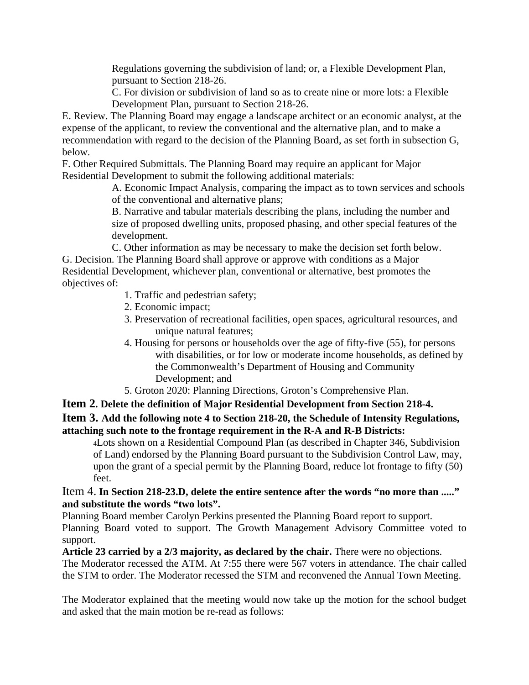Regulations governing the subdivision of land; or, a Flexible Development Plan, pursuant to Section 218-26.

C. For division or subdivision of land so as to create nine or more lots: a Flexible Development Plan, pursuant to Section 218-26.

E. Review. The Planning Board may engage a landscape architect or an economic analyst, at the expense of the applicant, to review the conventional and the alternative plan, and to make a recommendation with regard to the decision of the Planning Board, as set forth in subsection G, below.

F. Other Required Submittals. The Planning Board may require an applicant for Major Residential Development to submit the following additional materials:

> A. Economic Impact Analysis, comparing the impact as to town services and schools of the conventional and alternative plans;

B. Narrative and tabular materials describing the plans, including the number and size of proposed dwelling units, proposed phasing, and other special features of the development.

C. Other information as may be necessary to make the decision set forth below. G. Decision. The Planning Board shall approve or approve with conditions as a Major Residential Development, whichever plan, conventional or alternative, best promotes the objectives of:

- 1. Traffic and pedestrian safety;
- 2. Economic impact;
- 3. Preservation of recreational facilities, open spaces, agricultural resources, and unique natural features;
- 4. Housing for persons or households over the age of fifty-five (55), for persons with disabilities, or for low or moderate income households, as defined by the Commonwealth's Department of Housing and Community Development; and
- 5. Groton 2020: Planning Directions, Groton's Comprehensive Plan.

**Item 2. Delete the definition of Major Residential Development from Section 218-4. Item 3. Add the following note 4 to Section 218-20, the Schedule of Intensity Regulations, attaching such note to the frontage requirement in the R-A and R-B Districts:**

4Lots shown on a Residential Compound Plan (as described in Chapter 346, Subdivision of Land) endorsed by the Planning Board pursuant to the Subdivision Control Law, may, upon the grant of a special permit by the Planning Board, reduce lot frontage to fifty (50) feet.

# Item 4. **In Section 218-23.D, delete the entire sentence after the words "no more than ....." and substitute the words "two lots".**

Planning Board member Carolyn Perkins presented the Planning Board report to support. Planning Board voted to support. The Growth Management Advisory Committee voted to support.

**Article 23 carried by a 2/3 majority, as declared by the chair.** There were no objections. The Moderator recessed the ATM. At 7:55 there were 567 voters in attendance. The chair called the STM to order. The Moderator recessed the STM and reconvened the Annual Town Meeting.

The Moderator explained that the meeting would now take up the motion for the school budget and asked that the main motion be re-read as follows: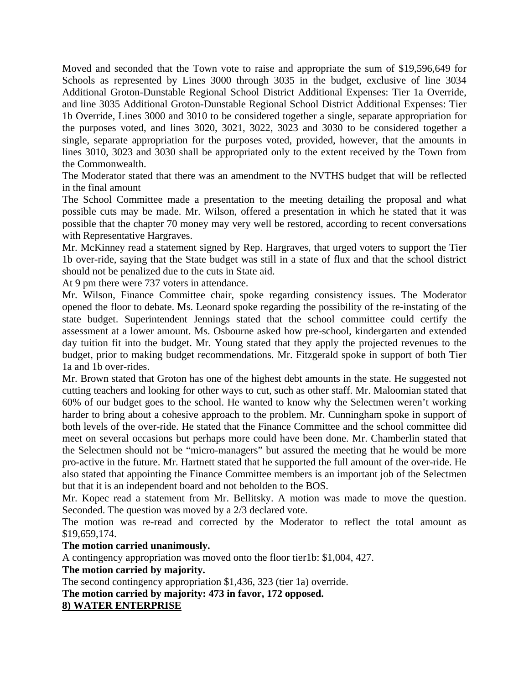Moved and seconded that the Town vote to raise and appropriate the sum of \$19,596,649 for Schools as represented by Lines 3000 through 3035 in the budget, exclusive of line 3034 Additional Groton-Dunstable Regional School District Additional Expenses: Tier 1a Override, and line 3035 Additional Groton-Dunstable Regional School District Additional Expenses: Tier 1b Override, Lines 3000 and 3010 to be considered together a single, separate appropriation for the purposes voted, and lines 3020, 3021, 3022, 3023 and 3030 to be considered together a single, separate appropriation for the purposes voted, provided, however, that the amounts in lines 3010, 3023 and 3030 shall be appropriated only to the extent received by the Town from the Commonwealth.

The Moderator stated that there was an amendment to the NVTHS budget that will be reflected in the final amount

The School Committee made a presentation to the meeting detailing the proposal and what possible cuts may be made. Mr. Wilson, offered a presentation in which he stated that it was possible that the chapter 70 money may very well be restored, according to recent conversations with Representative Hargraves.

Mr. McKinney read a statement signed by Rep. Hargraves, that urged voters to support the Tier 1b over-ride, saying that the State budget was still in a state of flux and that the school district should not be penalized due to the cuts in State aid.

At 9 pm there were 737 voters in attendance.

Mr. Wilson, Finance Committee chair, spoke regarding consistency issues. The Moderator opened the floor to debate. Ms. Leonard spoke regarding the possibility of the re-instating of the state budget. Superintendent Jennings stated that the school committee could certify the assessment at a lower amount. Ms. Osbourne asked how pre-school, kindergarten and extended day tuition fit into the budget. Mr. Young stated that they apply the projected revenues to the budget, prior to making budget recommendations. Mr. Fitzgerald spoke in support of both Tier 1a and 1b over-rides.

Mr. Brown stated that Groton has one of the highest debt amounts in the state. He suggested not cutting teachers and looking for other ways to cut, such as other staff. Mr. Maloomian stated that 60% of our budget goes to the school. He wanted to know why the Selectmen weren't working harder to bring about a cohesive approach to the problem. Mr. Cunningham spoke in support of both levels of the over-ride. He stated that the Finance Committee and the school committee did meet on several occasions but perhaps more could have been done. Mr. Chamberlin stated that the Selectmen should not be "micro-managers" but assured the meeting that he would be more pro-active in the future. Mr. Hartnett stated that he supported the full amount of the over-ride. He also stated that appointing the Finance Committee members is an important job of the Selectmen but that it is an independent board and not beholden to the BOS.

Mr. Kopec read a statement from Mr. Bellitsky. A motion was made to move the question. Seconded. The question was moved by a  $2/3$  declared vote.

The motion was re-read and corrected by the Moderator to reflect the total amount as \$19,659,174.

#### **The motion carried unanimously.**

A contingency appropriation was moved onto the floor tier1b: \$1,004, 427.

**The motion carried by majority.**

The second contingency appropriation \$1,436, 323 (tier 1a) override.

**The motion carried by majority: 473 in favor, 172 opposed.**

**8) WATER ENTERPRISE**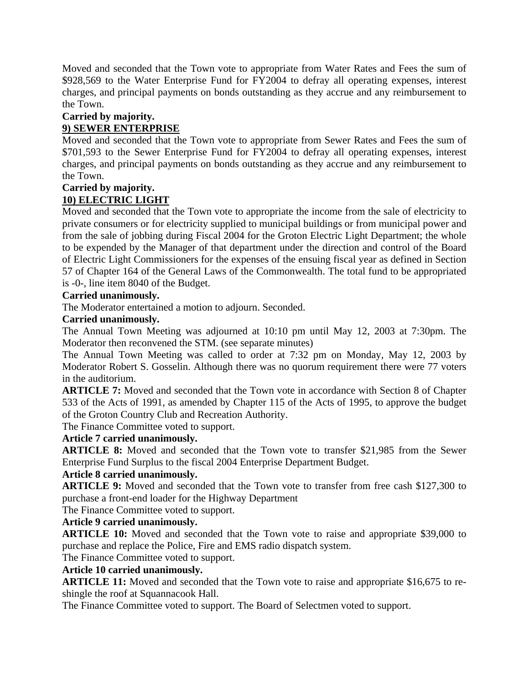Moved and seconded that the Town vote to appropriate from Water Rates and Fees the sum of \$928,569 to the Water Enterprise Fund for FY2004 to defray all operating expenses, interest charges, and principal payments on bonds outstanding as they accrue and any reimbursement to the Town.

# **Carried by majority.**

# **9) SEWER ENTERPRISE**

Moved and seconded that the Town vote to appropriate from Sewer Rates and Fees the sum of \$701,593 to the Sewer Enterprise Fund for FY2004 to defray all operating expenses, interest charges, and principal payments on bonds outstanding as they accrue and any reimbursement to the Town.

# **Carried by majority.**

# **10) ELECTRIC LIGHT**

Moved and seconded that the Town vote to appropriate the income from the sale of electricity to private consumers or for electricity supplied to municipal buildings or from municipal power and from the sale of jobbing during Fiscal 2004 for the Groton Electric Light Department; the whole to be expended by the Manager of that department under the direction and control of the Board of Electric Light Commissioners for the expenses of the ensuing fiscal year as defined in Section 57 of Chapter 164 of the General Laws of the Commonwealth. The total fund to be appropriated is -0-, line item 8040 of the Budget.

# **Carried unanimously.**

The Moderator entertained a motion to adjourn. Seconded.

# **Carried unanimously.**

The Annual Town Meeting was adjourned at 10:10 pm until May 12, 2003 at 7:30pm. The Moderator then reconvened the STM. (see separate minutes)

The Annual Town Meeting was called to order at 7:32 pm on Monday, May 12, 2003 by Moderator Robert S. Gosselin. Although there was no quorum requirement there were 77 voters in the auditorium.

**ARTICLE 7:** Moved and seconded that the Town vote in accordance with Section 8 of Chapter 533 of the Acts of 1991, as amended by Chapter 115 of the Acts of 1995, to approve the budget of the Groton Country Club and Recreation Authority.

The Finance Committee voted to support.

# **Article 7 carried unanimously.**

**ARTICLE 8:** Moved and seconded that the Town vote to transfer \$21,985 from the Sewer Enterprise Fund Surplus to the fiscal 2004 Enterprise Department Budget.

## **Article 8 carried unanimously.**

**ARTICLE 9:** Moved and seconded that the Town vote to transfer from free cash \$127,300 to purchase a front-end loader for the Highway Department

The Finance Committee voted to support.

# **Article 9 carried unanimously.**

**ARTICLE 10:** Moved and seconded that the Town vote to raise and appropriate \$39,000 to purchase and replace the Police, Fire and EMS radio dispatch system.

The Finance Committee voted to support.

## **Article 10 carried unanimously.**

**ARTICLE 11:** Moved and seconded that the Town vote to raise and appropriate \$16,675 to reshingle the roof at Squannacook Hall.

The Finance Committee voted to support. The Board of Selectmen voted to support.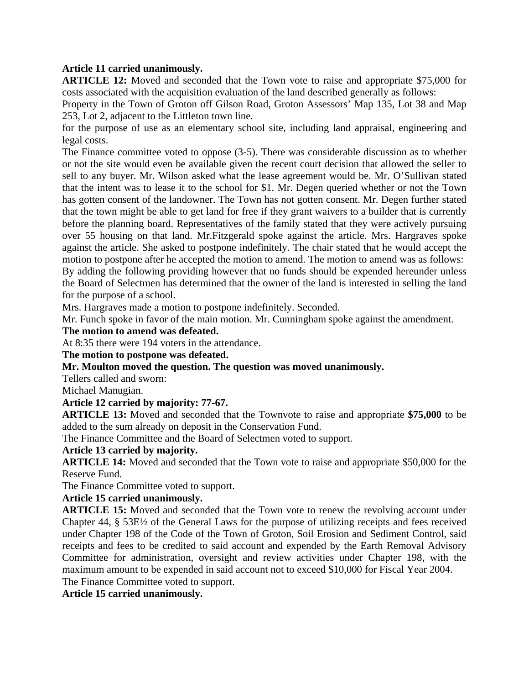### **Article 11 carried unanimously.**

**ARTICLE 12:** Moved and seconded that the Town vote to raise and appropriate \$75,000 for costs associated with the acquisition evaluation of the land described generally as follows:

Property in the Town of Groton off Gilson Road, Groton Assessors' Map 135, Lot 38 and Map 253, Lot 2, adjacent to the Littleton town line.

for the purpose of use as an elementary school site, including land appraisal, engineering and legal costs.

The Finance committee voted to oppose (3-5). There was considerable discussion as to whether or not the site would even be available given the recent court decision that allowed the seller to sell to any buyer. Mr. Wilson asked what the lease agreement would be. Mr. O'Sullivan stated that the intent was to lease it to the school for \$1. Mr. Degen queried whether or not the Town has gotten consent of the landowner. The Town has not gotten consent. Mr. Degen further stated that the town might be able to get land for free if they grant waivers to a builder that is currently before the planning board. Representatives of the family stated that they were actively pursuing over 55 housing on that land. Mr.Fitzgerald spoke against the article. Mrs. Hargraves spoke against the article. She asked to postpone indefinitely. The chair stated that he would accept the motion to postpone after he accepted the motion to amend. The motion to amend was as follows:

By adding the following providing however that no funds should be expended hereunder unless the Board of Selectmen has determined that the owner of the land is interested in selling the land for the purpose of a school.

Mrs. Hargraves made a motion to postpone indefinitely. Seconded.

Mr. Funch spoke in favor of the main motion. Mr. Cunningham spoke against the amendment.

#### **The motion to amend was defeated.**

At 8:35 there were 194 voters in the attendance.

**The motion to postpone was defeated.**

#### **Mr. Moulton moved the question. The question was moved unanimously.**

Tellers called and sworn:

Michael Manugian.

#### **Article 12 carried by majority: 77-67.**

**ARTICLE 13:** Moved and seconded that the Townvote to raise and appropriate **\$75,000** to be added to the sum already on deposit in the Conservation Fund.

The Finance Committee and the Board of Selectmen voted to support.

#### **Article 13 carried by majority.**

**ARTICLE 14:** Moved and seconded that the Town vote to raise and appropriate \$50,000 for the Reserve Fund.

The Finance Committee voted to support.

#### **Article 15 carried unanimously.**

**ARTICLE 15:** Moved and seconded that the Town vote to renew the revolving account under Chapter 44, § 53E½ of the General Laws for the purpose of utilizing receipts and fees received under Chapter 198 of the Code of the Town of Groton, Soil Erosion and Sediment Control, said receipts and fees to be credited to said account and expended by the Earth Removal Advisory Committee for administration, oversight and review activities under Chapter 198, with the maximum amount to be expended in said account not to exceed \$10,000 for Fiscal Year 2004. The Finance Committee voted to support.

## **Article 15 carried unanimously.**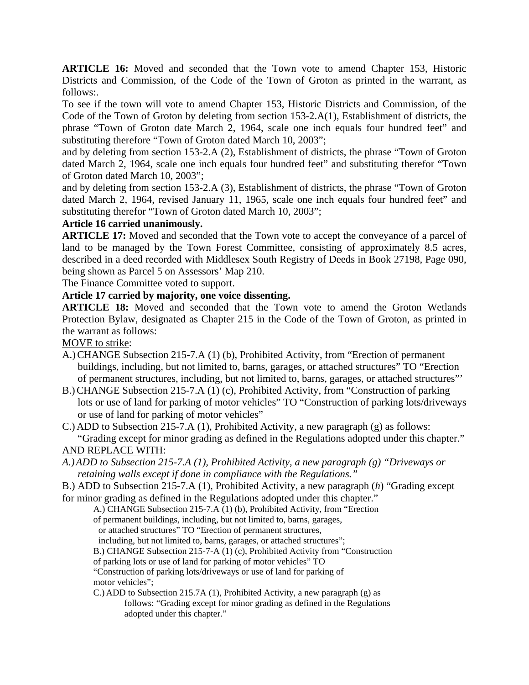**ARTICLE 16:** Moved and seconded that the Town vote to amend Chapter 153, Historic Districts and Commission, of the Code of the Town of Groton as printed in the warrant, as follows:.

To see if the town will vote to amend Chapter 153, Historic Districts and Commission, of the Code of the Town of Groton by deleting from section 153-2.A(1), Establishment of districts, the phrase "Town of Groton date March 2, 1964, scale one inch equals four hundred feet" and substituting therefore "Town of Groton dated March 10, 2003";

and by deleting from section 153-2.A (2), Establishment of districts, the phrase "Town of Groton dated March 2, 1964, scale one inch equals four hundred feet" and substituting therefor "Town of Groton dated March 10, 2003";

and by deleting from section 153-2.A (3), Establishment of districts, the phrase "Town of Groton dated March 2, 1964, revised January 11, 1965, scale one inch equals four hundred feet" and substituting therefor "Town of Groton dated March 10, 2003";

#### **Article 16 carried unanimously.**

**ARTICLE 17:** Moved and seconded that the Town vote to accept the conveyance of a parcel of land to be managed by the Town Forest Committee, consisting of approximately 8.5 acres, described in a deed recorded with Middlesex South Registry of Deeds in Book 27198, Page 090, being shown as Parcel 5 on Assessors' Map 210.

The Finance Committee voted to support.

#### **Article 17 carried by majority, one voice dissenting.**

**ARTICLE 18:** Moved and seconded that the Town vote to amend the Groton Wetlands Protection Bylaw, designated as Chapter 215 in the Code of the Town of Groton, as printed in the warrant as follows:

MOVE to strike:

- A.)CHANGE Subsection 215-7.A (1) (b), Prohibited Activity, from "Erection of permanent buildings, including, but not limited to, barns, garages, or attached structures" TO "Erection of permanent structures, including, but not limited to, barns, garages, or attached structures"'
- B.)CHANGE Subsection 215-7.A (1) (c), Prohibited Activity, from "Construction of parking lots or use of land for parking of motor vehicles" TO "Construction of parking lots/driveways or use of land for parking of motor vehicles"
- C.) ADD to Subsection 215-7.A (1), Prohibited Activity, a new paragraph (g) as follows: "Grading except for minor grading as defined in the Regulations adopted under this chapter." AND REPLACE WITH:
- *A.)ADD to Subsection 215-7.A (1), Prohibited Activity, a new paragraph (g) "Driveways or retaining walls except if done in compliance with the Regulations."*
- B.) ADD to Subsection 215-7.A (1), Prohibited Activity, a new paragraph (*h*) "Grading except

for minor grading as defined in the Regulations adopted under this chapter."

- A.) CHANGE Subsection 215-7.A (1) (b), Prohibited Activity, from "Erection of permanent buildings, including, but not limited to, barns, garages, or attached structures" TO "Erection of permanent structures, including, but not limited to, barns, garages, or attached structures"; B.) CHANGE Subsection 215-7-A (1) (c), Prohibited Activity from "Construction of parking lots or use of land for parking of motor vehicles" TO "Construction of parking lots/driveways or use of land for parking of motor vehicles"; C.) ADD to Subsection 215.7A (1), Prohibited Activity, a new paragraph (g) as
	- follows: "Grading except for minor grading as defined in the Regulations adopted under this chapter."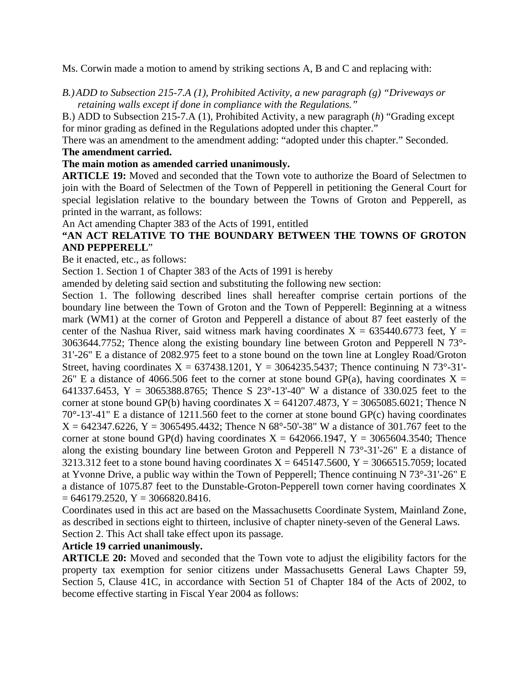Ms. Corwin made a motion to amend by striking sections A, B and C and replacing with:

*B.)ADD to Subsection 215-7.A (1), Prohibited Activity, a new paragraph (g) "Driveways or retaining walls except if done in compliance with the Regulations."*

B.) ADD to Subsection 215-7.A (1), Prohibited Activity, a new paragraph (*h*) "Grading except for minor grading as defined in the Regulations adopted under this chapter."

There was an amendment to the amendment adding: "adopted under this chapter." Seconded. **The amendment carried.**

#### **The main motion as amended carried unanimously.**

**ARTICLE 19:** Moved and seconded that the Town vote to authorize the Board of Selectmen to join with the Board of Selectmen of the Town of Pepperell in petitioning the General Court for special legislation relative to the boundary between the Towns of Groton and Pepperell, as printed in the warrant, as follows:

An Act amending Chapter 383 of the Acts of 1991, entitled

## **"AN ACT RELATIVE TO THE BOUNDARY BETWEEN THE TOWNS OF GROTON AND PEPPERELL**"

Be it enacted, etc., as follows:

Section 1. Section 1 of Chapter 383 of the Acts of 1991 is hereby

amended by deleting said section and substituting the following new section:

Section 1. The following described lines shall hereafter comprise certain portions of the boundary line between the Town of Groton and the Town of Pepperell: Beginning at a witness mark (WM1) at the corner of Groton and Pepperell a distance of about 87 feet easterly of the center of the Nashua River, said witness mark having coordinates  $X = 635440.6773$  feet,  $Y =$ 3063644.7752; Thence along the existing boundary line between Groton and Pepperell N 73°- 31'-26" E a distance of 2082.975 feet to a stone bound on the town line at Longley Road/Groton Street, having coordinates  $X = 637438.1201$ ,  $Y = 3064235.5437$ ; Thence continuing N 73°-31'-26" E a distance of 4066.506 feet to the corner at stone bound GP(a), having coordinates  $X =$ 641337.6453, Y = 3065388.8765; Thence S 23°-13'-40" W a distance of 330.025 feet to the corner at stone bound GP(b) having coordinates  $X = 641207.4873$ ,  $Y = 3065085.6021$ ; Thence N 70°-13'-41" E a distance of 1211.560 feet to the corner at stone bound GP(c) having coordinates  $X = 642347.6226$ ,  $Y = 3065495.4432$ ; Thence N  $68^{\circ}$ -50'-38" W a distance of 301.767 feet to the corner at stone bound GP(d) having coordinates  $X = 642066.1947$ ,  $Y = 3065604.3540$ ; Thence along the existing boundary line between Groton and Pepperell N 73°-31'-26" E a distance of 3213.312 feet to a stone bound having coordinates  $X = 645147.5600$ ,  $Y = 3066515.7059$ ; located at Yvonne Drive, a public way within the Town of Pepperell; Thence continuing N 73°-31'-26" E a distance of 1075.87 feet to the Dunstable-Groton-Pepperell town corner having coordinates X  $= 646179.2520$ ,  $Y = 3066820.8416$ .

Coordinates used in this act are based on the Massachusetts Coordinate System, Mainland Zone, as described in sections eight to thirteen, inclusive of chapter ninety-seven of the General Laws. Section 2. This Act shall take effect upon its passage.

#### **Article 19 carried unanimously.**

**ARTICLE 20:** Moved and seconded that the Town vote to adjust the eligibility factors for the property tax exemption for senior citizens under Massachusetts General Laws Chapter 59, Section 5, Clause 41C, in accordance with Section 51 of Chapter 184 of the Acts of 2002, to become effective starting in Fiscal Year 2004 as follows: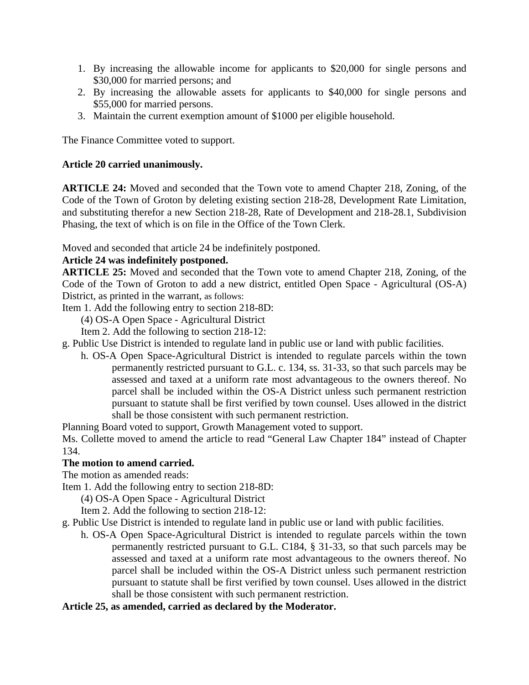- 1. By increasing the allowable income for applicants to \$20,000 for single persons and \$30,000 for married persons; and
- 2. By increasing the allowable assets for applicants to \$40,000 for single persons and \$55,000 for married persons.
- 3. Maintain the current exemption amount of \$1000 per eligible household.

The Finance Committee voted to support.

#### **Article 20 carried unanimously.**

**ARTICLE 24:** Moved and seconded that the Town vote to amend Chapter 218, Zoning, of the Code of the Town of Groton by deleting existing section 218-28, Development Rate Limitation, and substituting therefor a new Section 218-28, Rate of Development and 218-28.1, Subdivision Phasing, the text of which is on file in the Office of the Town Clerk.

Moved and seconded that article 24 be indefinitely postponed.

#### **Article 24 was indefinitely postponed.**

**ARTICLE 25:** Moved and seconded that the Town vote to amend Chapter 218, Zoning, of the Code of the Town of Groton to add a new district, entitled Open Space - Agricultural (OS-A) District, as printed in the warrant, as follows:

Item 1. Add the following entry to section 218-8D:

(4) OS-A Open Space - Agricultural District

- Item 2. Add the following to section 218-12:
- g. Public Use District is intended to regulate land in public use or land with public facilities.
	- h. OS-A Open Space-Agricultural District is intended to regulate parcels within the town permanently restricted pursuant to G.L. c. 134, ss. 31-33, so that such parcels may be assessed and taxed at a uniform rate most advantageous to the owners thereof. No parcel shall be included within the OS-A District unless such permanent restriction pursuant to statute shall be first verified by town counsel. Uses allowed in the district shall be those consistent with such permanent restriction.

Planning Board voted to support, Growth Management voted to support.

Ms. Collette moved to amend the article to read "General Law Chapter 184" instead of Chapter 134.

## **The motion to amend carried.**

The motion as amended reads:

Item 1. Add the following entry to section 218-8D:

(4) OS-A Open Space - Agricultural District

- Item 2. Add the following to section 218-12:
- g. Public Use District is intended to regulate land in public use or land with public facilities.
	- h. OS-A Open Space-Agricultural District is intended to regulate parcels within the town permanently restricted pursuant to G.L. C184, § 31-33, so that such parcels may be assessed and taxed at a uniform rate most advantageous to the owners thereof. No parcel shall be included within the OS-A District unless such permanent restriction pursuant to statute shall be first verified by town counsel. Uses allowed in the district shall be those consistent with such permanent restriction.

## **Article 25, as amended, carried as declared by the Moderator.**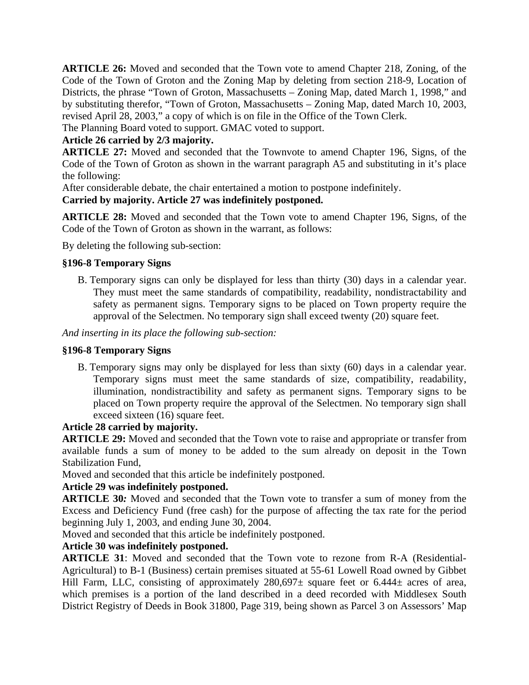**ARTICLE 26:** Moved and seconded that the Town vote to amend Chapter 218, Zoning, of the Code of the Town of Groton and the Zoning Map by deleting from section 218-9, Location of Districts, the phrase "Town of Groton, Massachusetts – Zoning Map, dated March 1, 1998," and by substituting therefor, "Town of Groton, Massachusetts – Zoning Map, dated March 10, 2003, revised April 28, 2003," a copy of which is on file in the Office of the Town Clerk.

The Planning Board voted to support. GMAC voted to support.

# **Article 26 carried by 2/3 majority.**

**ARTICLE 27:** Moved and seconded that the Townvote to amend Chapter 196, Signs, of the Code of the Town of Groton as shown in the warrant paragraph A5 and substituting in it's place the following:

After considerable debate, the chair entertained a motion to postpone indefinitely.

**Carried by majority. Article 27 was indefinitely postponed.**

**ARTICLE 28:** Moved and seconded that the Town vote to amend Chapter 196, Signs, of the Code of the Town of Groton as shown in the warrant, as follows:

By deleting the following sub-section:

#### **§196-8 Temporary Signs**

B. Temporary signs can only be displayed for less than thirty (30) days in a calendar year. They must meet the same standards of compatibility, readability, nondistractability and safety as permanent signs. Temporary signs to be placed on Town property require the approval of the Selectmen. No temporary sign shall exceed twenty (20) square feet.

*And inserting in its place the following sub-section:*

## **§196-8 Temporary Signs**

B. Temporary signs may only be displayed for less than sixty (60) days in a calendar year. Temporary signs must meet the same standards of size, compatibility, readability, illumination, nondistractibility and safety as permanent signs. Temporary signs to be placed on Town property require the approval of the Selectmen. No temporary sign shall exceed sixteen (16) square feet.

#### **Article 28 carried by majority.**

**ARTICLE 29:** Moved and seconded that the Town vote to raise and appropriate or transfer from available funds a sum of money to be added to the sum already on deposit in the Town Stabilization Fund,

Moved and seconded that this article be indefinitely postponed.

## **Article 29 was indefinitely postponed.**

**ARTICLE 30***:* Moved and seconded that the Town vote to transfer a sum of money from the Excess and Deficiency Fund (free cash) for the purpose of affecting the tax rate for the period beginning July 1, 2003, and ending June 30, 2004.

Moved and seconded that this article be indefinitely postponed.

## **Article 30 was indefinitely postponed.**

**ARTICLE 31**: Moved and seconded that the Town vote to rezone from R-A (Residential-Agricultural) to B-1 (Business) certain premises situated at 55-61 Lowell Road owned by Gibbet Hill Farm, LLC, consisting of approximately  $280.697\pm$  square feet or  $6.444\pm$  acres of area, which premises is a portion of the land described in a deed recorded with Middlesex South District Registry of Deeds in Book 31800, Page 319, being shown as Parcel 3 on Assessors' Map